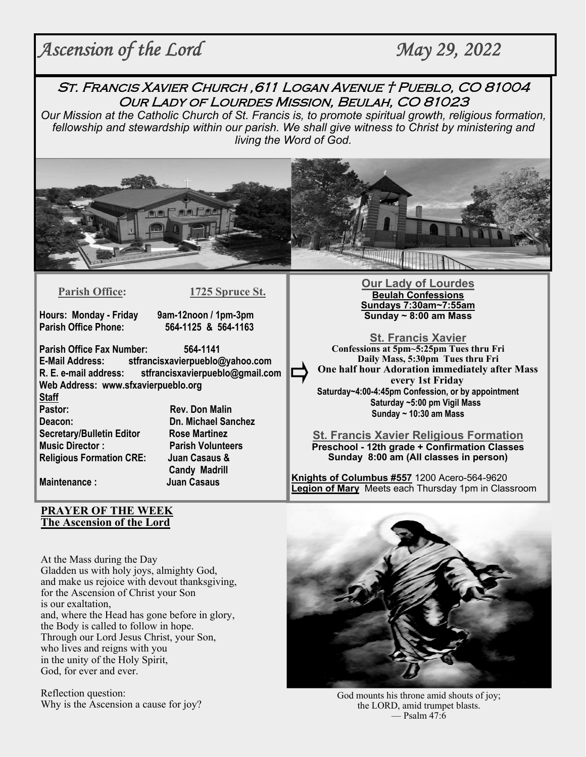# *Ascension of the Lord* May 29, 2022

St. Francis Xavier Church ,611 Logan Avenue † Pueblo, CO 81004 Our Lady of Lourdes Mission, Beulah, CO 81023

*Our Mission at the Catholic Church of St. Francis is, to promote spiritual growth, religious formation, fellowship and stewardship within our parish. We shall give witness to Christ by ministering and living the Word of God.* 



**Parish Office: 1725 Spruce St.** 

**Hours: Monday - Friday 9am-12noon / 1pm-3pm** 

**Parish Office Phone: 564-1125 & 564-1163**

**Parish Office Fax Number: 564-1141 E-Mail Address: stfrancisxavierpueblo@yahoo.com R. E. e-mail address: stfrancisxavierpueblo@gmail.com Web Address: www.sfxavierpueblo.org Staff** 

**Pastor: Rev. Don Malin Deacon: Dn. Michael Sanchez Secretary/Bulletin Editor Rose Martinez Music Director : Parish Volunteers Religious Formation CRE: Juan Casaus &** 

 **Candy Madrill Maintenance : Juan Casaus**

**Our Lady of Lourdes Beulah Confessions Sundays 7:30am~7:55am Sunday ~ 8:00 am Mass** 

**St. Francis Xavier Confessions at 5pm~5:25pm Tues thru Fri Daily Mass, 5:30pm Tues thru Fri One half hour Adoration immediately after Mass every 1st Friday Saturday~4:00-4:45pm Confession, or by appointment Saturday ~5:00 pm Vigil Mass Sunday ~ 10:30 am Mass** 

**St. Francis Xavier Religious Formation Preschool - 12th grade + Confirmation Classes Sunday 8:00 am (All classes in person)** 

**Knights of Columbus #557** 1200 Acero-564-9620 **Legion of Mary** Meets each Thursday 1pm in Classroom

#### **PRAYER OF THE WEEK The Ascension of the Lord**

At the Mass during the Day Gladden us with holy joys, almighty God, and make us rejoice with devout thanksgiving, for the Ascension of Christ your Son is our exaltation, and, where the Head has gone before in glory, the Body is called to follow in hope. Through our Lord Jesus Christ, your Son, who lives and reigns with you in the unity of the Holy Spirit, God, for ever and ever.

Reflection question:



Reflection question:<br>Why is the Ascension a cause for joy?<br>Why is the Ascension a cause for joy?<br>Why is the LORD, amid trumpet blasts. the LORD, amid trumpet blasts. — Psalm 47:6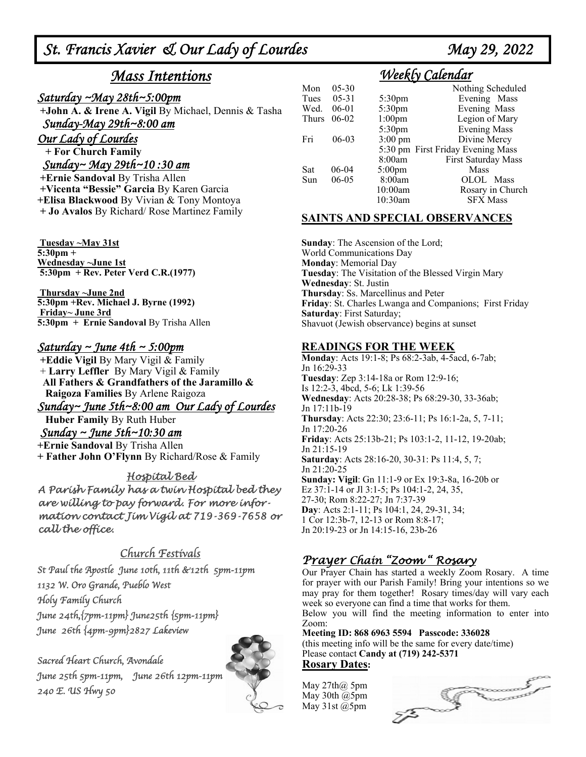# *St. Francis Xavier & Our Lady of Lourdes May 29, 2022*

# *Mass Intentions*

## *Saturday ~May 28th~5:00pm*

 **+John A. & Irene A. Vigil** By Michael, Dennis & Tasha *Sunday-May 29th~8:00 am*

*Our Lady of Lourdes* 

 **+ For Church Family**

### *Sunday~ May 29th~10 :30 am*

 **+Ernie Sandoval** By Trisha Allen **+Vicenta "Bessie" Garcia** By Karen Garcia **+Elisa Blackwood** By Vivian & Tony Montoya **+ Jo Avalos** By Richard/ Rose Martinez Family

 **Tuesday ~May 31st 5:30pm + Wednesday ~June 1st 5:30pm + Rev. Peter Verd C.R.(1977)** 

 **Thursday ~June 2nd 5:30pm +Rev. Michael J. Byrne (1992) Friday~ June 3rd 5:30pm + Ernie Sandoval** By Trisha Allen

### *Saturday ~ June 4th ~ 5:00pm*

 **+Eddie Vigil** By Mary Vigil & Family + **Larry Leffler** By Mary Vigil & Family  **All Fathers & Grandfathers of the Jaramillo & Raigoza Families** By Arlene Raigoza

*Sunday~ June 5th~8:00 am Our Lady of Lourdes* 

**Huber Family** By Ruth Huber

 *Sunday ~ June 5th~10:30 am*  **+Ernie Sandoval** By Trisha Allen **+ Father John O'Flynn** By Richard/Rose & Family

### Hospital Bed

A Parish Family has a twin Hospital bed they are willing to pay forward. For more information contact Jim Vigil at 719-369-7658 or call the office.

## Church Festivals

St Paul the Apostle June 10th, 11th &12th 5pm-11pm 1132 W. Oro Grande, Pueblo West Holy Family Church June 24th,{7pm-11pm} June25th {5pm-11pm} June 26th {4pm-9pm}2827 Lakeview

Sacred Heart Church, Avondale June 25th 5pm-11pm, June 26th 12pm-11pm 240 E. US Hwy 50



# *Weekly Calendar*

| Mon          | $05 - 30$ |                    | Nothing Scheduled                 |
|--------------|-----------|--------------------|-----------------------------------|
| Tues         | $05 - 31$ | 5:30 <sub>pm</sub> | Evening Mass                      |
| Wed.         | $06-01$   | 5:30pm             | Evening Mass                      |
| <b>Thurs</b> | $06-02$   | 1:00 <sub>pm</sub> | Legion of Mary                    |
|              |           | 5:30 <sub>pm</sub> | <b>Evening Mass</b>               |
| Fri          | $06-03$   | $3:00 \text{ pm}$  | Divine Mercy                      |
|              |           |                    | 5:30 pm First Friday Evening Mass |
|              |           | 8:00am             | First Saturday Mass               |
| Sat          | $06-04$   | $5:00$ pm          | Mass                              |
| Sun          | $06 - 05$ | 8:00am             | OLOL Mass                         |
|              |           | 10:00am            | Rosary in Church                  |
|              |           | 10:30am            | <b>SFX Mass</b>                   |

## **SAINTS AND SPECIAL OBSERVANCES**

**Sunday**: The Ascension of the Lord; World Communications Day **Monday**: Memorial Day **Tuesday**: The Visitation of the Blessed Virgin Mary **Wednesday**: St. Justin **Thursday**: Ss. Marcellinus and Peter **Friday**: St. Charles Lwanga and Companions; First Friday **Saturday**: First Saturday; Shavuot (Jewish observance) begins at sunset

#### **READINGS FOR THE WEEK**

**Monday**: Acts 19:1-8; Ps 68:2-3ab, 4-5acd, 6-7ab; Jn 16:29-33 **Tuesday**: Zep 3:14-18a or Rom 12:9-16; Is 12:2-3, 4bcd, 5-6; Lk 1:39-56 **Wednesday**: Acts 20:28-38; Ps 68:29-30, 33-36ab; Jn 17:11b-19 **Thursday**: Acts 22:30; 23:6-11; Ps 16:1-2a, 5, 7-11; Jn 17:20-26 **Friday**: Acts 25:13b-21; Ps 103:1-2, 11-12, 19-20ab; Jn 21:15-19 **Saturday**: Acts 28:16-20, 30-31: Ps 11:4, 5, 7; Jn 21:20-25 **Sunday: Vigil**: Gn 11:1-9 or Ex 19:3-8a, 16-20b or Ez 37:1-14 or Jl 3:1-5; Ps 104:1-2, 24, 35, 27-30; Rom 8:22-27; Jn 7:37-39 **Day**: Acts 2:1-11; Ps 104:1, 24, 29-31, 34; 1 Cor 12:3b-7, 12-13 or Rom 8:8-17; Jn 20:19-23 or Jn 14:15-16, 23b-26

## Prayer Chain "Zoom " Rosary

Our Prayer Chain has started a weekly Zoom Rosary. A time for prayer with our Parish Family! Bring your intentions so we may pray for them together! Rosary times/day will vary each week so everyone can find a time that works for them. Below you will find the meeting information to enter into Zoom:

**Meeting ID: 868 6963 5594 Passcode: 336028**  (this meeting info will be the same for every date/time) Please contact **Candy at (719) 242-5371 Rosary Dates:** 

May  $27th\omega$  5pm May 30th @5pm May 31st @5pm